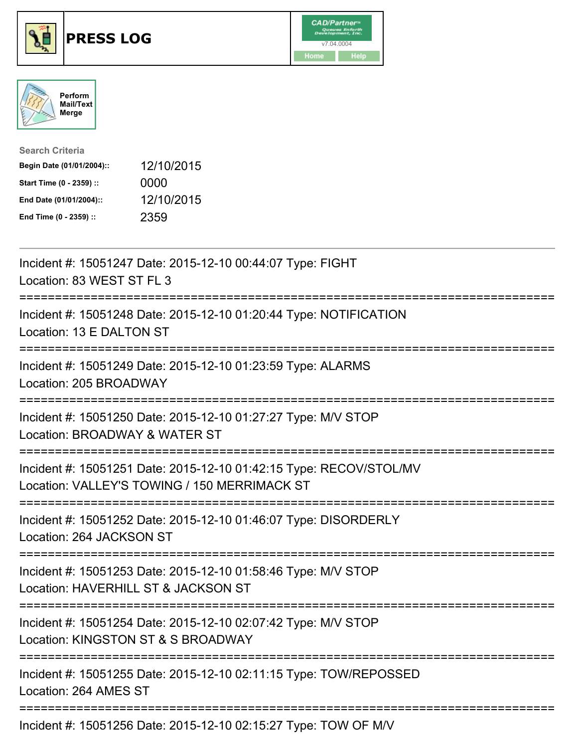





| <b>Search Criteria</b>    |            |
|---------------------------|------------|
| Begin Date (01/01/2004):: | 12/10/2015 |
| Start Time (0 - 2359) ::  | 0000       |
| End Date (01/01/2004)::   | 12/10/2015 |
| End Time (0 - 2359) ::    | 2359       |

| Incident #: 15051247 Date: 2015-12-10 00:44:07 Type: FIGHT<br>Location: 83 WEST ST FL 3                                                               |
|-------------------------------------------------------------------------------------------------------------------------------------------------------|
| Incident #: 15051248 Date: 2015-12-10 01:20:44 Type: NOTIFICATION<br>Location: 13 E DALTON ST                                                         |
| Incident #: 15051249 Date: 2015-12-10 01:23:59 Type: ALARMS<br>Location: 205 BROADWAY                                                                 |
| Incident #: 15051250 Date: 2015-12-10 01:27:27 Type: M/V STOP<br>Location: BROADWAY & WATER ST                                                        |
| Incident #: 15051251 Date: 2015-12-10 01:42:15 Type: RECOV/STOL/MV<br>Location: VALLEY'S TOWING / 150 MERRIMACK ST<br>=============================== |
| Incident #: 15051252 Date: 2015-12-10 01:46:07 Type: DISORDERLY<br>Location: 264 JACKSON ST                                                           |
| Incident #: 15051253 Date: 2015-12-10 01:58:46 Type: M/V STOP<br>Location: HAVERHILL ST & JACKSON ST<br>.==============================               |
| Incident #: 15051254 Date: 2015-12-10 02:07:42 Type: M/V STOP<br>Location: KINGSTON ST & S BROADWAY                                                   |
| ;===============================<br>Incident #: 15051255 Date: 2015-12-10 02:11:15 Type: TOW/REPOSSED<br>Location: 264 AMES ST                        |
| Incident #: 15051256 Date: 2015-12-10 02:15:27 Type: TOW OF M/V                                                                                       |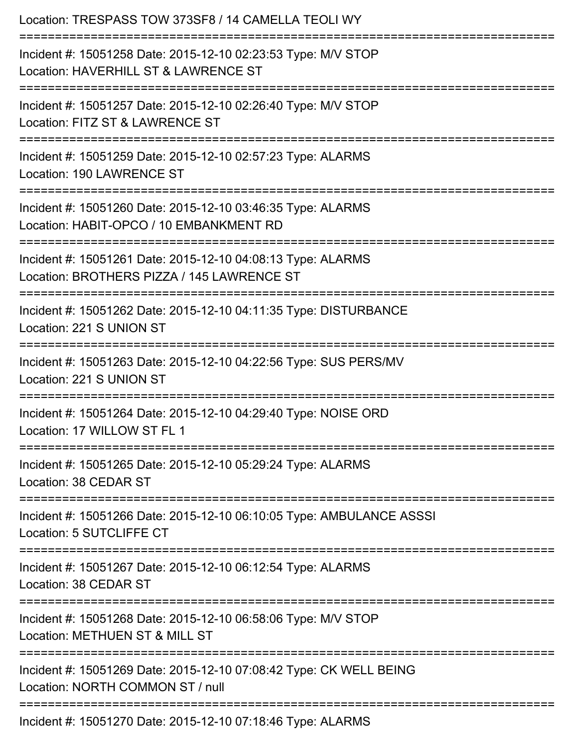| Location: TRESPASS TOW 373SF8 / 14 CAMELLA TEOLI WY<br>===============================                                                          |
|-------------------------------------------------------------------------------------------------------------------------------------------------|
| Incident #: 15051258 Date: 2015-12-10 02:23:53 Type: M/V STOP<br>Location: HAVERHILL ST & LAWRENCE ST                                           |
| Incident #: 15051257 Date: 2015-12-10 02:26:40 Type: M/V STOP<br>Location: FITZ ST & LAWRENCE ST                                                |
| Incident #: 15051259 Date: 2015-12-10 02:57:23 Type: ALARMS<br>Location: 190 LAWRENCE ST<br>--------------------------------------              |
| Incident #: 15051260 Date: 2015-12-10 03:46:35 Type: ALARMS<br>Location: HABIT-OPCO / 10 EMBANKMENT RD                                          |
| Incident #: 15051261 Date: 2015-12-10 04:08:13 Type: ALARMS<br>Location: BROTHERS PIZZA / 145 LAWRENCE ST<br>:================================= |
| Incident #: 15051262 Date: 2015-12-10 04:11:35 Type: DISTURBANCE<br>Location: 221 S UNION ST                                                    |
| Incident #: 15051263 Date: 2015-12-10 04:22:56 Type: SUS PERS/MV<br>Location: 221 S UNION ST                                                    |
| Incident #: 15051264 Date: 2015-12-10 04:29:40 Type: NOISE ORD<br>Location: 17 WILLOW ST FL 1                                                   |
| Incident #: 15051265 Date: 2015-12-10 05:29:24 Type: ALARMS<br>Location: 38 CEDAR ST                                                            |
| Incident #: 15051266 Date: 2015-12-10 06:10:05 Type: AMBULANCE ASSSI<br>Location: 5 SUTCLIFFE CT                                                |
| Incident #: 15051267 Date: 2015-12-10 06:12:54 Type: ALARMS<br>Location: 38 CEDAR ST                                                            |
| Incident #: 15051268 Date: 2015-12-10 06:58:06 Type: M/V STOP<br>Location: METHUEN ST & MILL ST                                                 |
| Incident #: 15051269 Date: 2015-12-10 07:08:42 Type: CK WELL BEING<br>Location: NORTH COMMON ST / null                                          |
| Incident #: 15051270 Date: 2015-12-10 07:18:46 Type: ALARMS                                                                                     |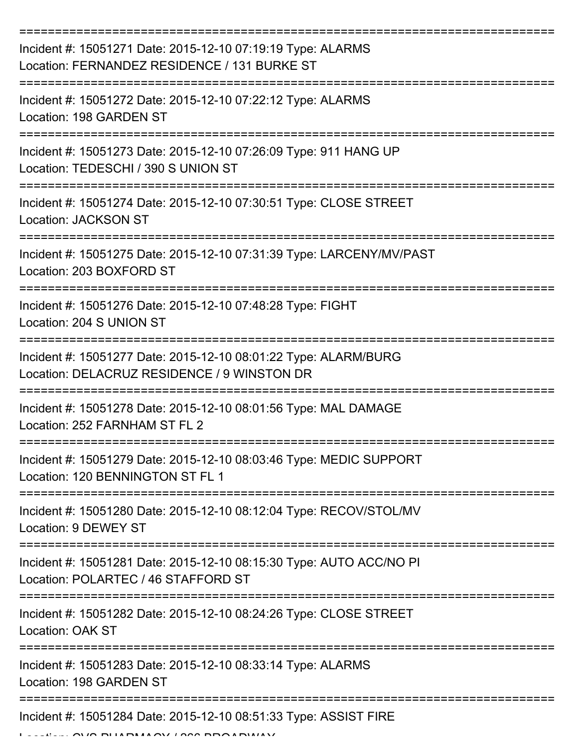| Incident #: 15051271 Date: 2015-12-10 07:19:19 Type: ALARMS<br>Location: FERNANDEZ RESIDENCE / 131 BURKE ST    |
|----------------------------------------------------------------------------------------------------------------|
| Incident #: 15051272 Date: 2015-12-10 07:22:12 Type: ALARMS<br>Location: 198 GARDEN ST                         |
| Incident #: 15051273 Date: 2015-12-10 07:26:09 Type: 911 HANG UP<br>Location: TEDESCHI / 390 S UNION ST        |
| Incident #: 15051274 Date: 2015-12-10 07:30:51 Type: CLOSE STREET<br>Location: JACKSON ST                      |
| Incident #: 15051275 Date: 2015-12-10 07:31:39 Type: LARCENY/MV/PAST<br>Location: 203 BOXFORD ST               |
| Incident #: 15051276 Date: 2015-12-10 07:48:28 Type: FIGHT<br>Location: 204 S UNION ST                         |
| Incident #: 15051277 Date: 2015-12-10 08:01:22 Type: ALARM/BURG<br>Location: DELACRUZ RESIDENCE / 9 WINSTON DR |
| Incident #: 15051278 Date: 2015-12-10 08:01:56 Type: MAL DAMAGE<br>Location: 252 FARNHAM ST FL 2               |
| Incident #: 15051279 Date: 2015-12-10 08:03:46 Type: MEDIC SUPPORT<br>Location: 120 BENNINGTON ST FL 1         |
| Incident #: 15051280 Date: 2015-12-10 08:12:04 Type: RECOV/STOL/MV<br>Location: 9 DEWEY ST                     |
| Incident #: 15051281 Date: 2015-12-10 08:15:30 Type: AUTO ACC/NO PI<br>Location: POLARTEC / 46 STAFFORD ST     |
| Incident #: 15051282 Date: 2015-12-10 08:24:26 Type: CLOSE STREET<br>Location: OAK ST                          |
| Incident #: 15051283 Date: 2015-12-10 08:33:14 Type: ALARMS<br>Location: 198 GARDEN ST                         |
| Incident #: 15051284 Date: 2015-12-10 08:51:33 Type: ASSIST FIRE                                               |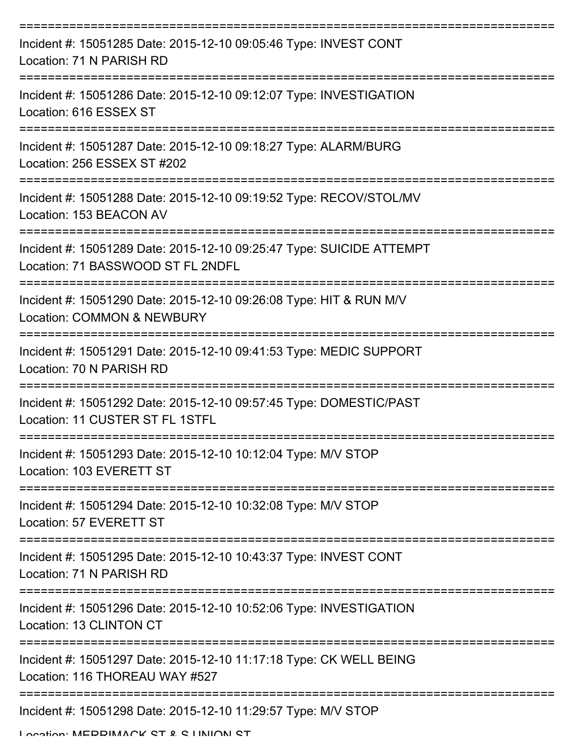| Incident #: 15051285 Date: 2015-12-10 09:05:46 Type: INVEST CONT<br>Location: 71 N PARISH RD                         |
|----------------------------------------------------------------------------------------------------------------------|
| Incident #: 15051286 Date: 2015-12-10 09:12:07 Type: INVESTIGATION<br>Location: 616 ESSEX ST                         |
| Incident #: 15051287 Date: 2015-12-10 09:18:27 Type: ALARM/BURG<br>Location: 256 ESSEX ST #202                       |
| Incident #: 15051288 Date: 2015-12-10 09:19:52 Type: RECOV/STOL/MV<br>Location: 153 BEACON AV                        |
| Incident #: 15051289 Date: 2015-12-10 09:25:47 Type: SUICIDE ATTEMPT<br>Location: 71 BASSWOOD ST FL 2NDFL            |
| Incident #: 15051290 Date: 2015-12-10 09:26:08 Type: HIT & RUN M/V<br>Location: COMMON & NEWBURY                     |
| Incident #: 15051291 Date: 2015-12-10 09:41:53 Type: MEDIC SUPPORT<br>Location: 70 N PARISH RD                       |
| ===========<br>Incident #: 15051292 Date: 2015-12-10 09:57:45 Type: DOMESTIC/PAST<br>Location: 11 CUSTER ST FL 1STFL |
| Incident #: 15051293 Date: 2015-12-10 10:12:04 Type: M/V STOP<br>Location: 103 EVERETT ST                            |
| Incident #: 15051294 Date: 2015-12-10 10:32:08 Type: M/V STOP<br>Location: 57 EVERETT ST                             |
| Incident #: 15051295 Date: 2015-12-10 10:43:37 Type: INVEST CONT<br>Location: 71 N PARISH RD                         |
| Incident #: 15051296 Date: 2015-12-10 10:52:06 Type: INVESTIGATION<br>Location: 13 CLINTON CT                        |
| Incident #: 15051297 Date: 2015-12-10 11:17:18 Type: CK WELL BEING<br>Location: 116 THOREAU WAY #527                 |
| Incident #: 15051298 Date: 2015-12-10 11:29:57 Type: M/V STOP                                                        |

Location: MEDDIMACK CT & C LINIION CT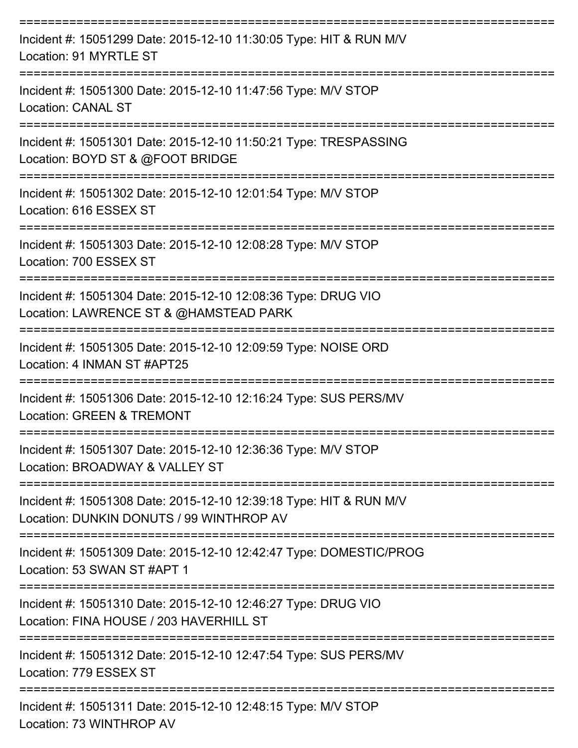| Incident #: 15051299 Date: 2015-12-10 11:30:05 Type: HIT & RUN M/V<br>Location: 91 MYRTLE ST                   |
|----------------------------------------------------------------------------------------------------------------|
| Incident #: 15051300 Date: 2015-12-10 11:47:56 Type: M/V STOP<br><b>Location: CANAL ST</b>                     |
| Incident #: 15051301 Date: 2015-12-10 11:50:21 Type: TRESPASSING<br>Location: BOYD ST & @FOOT BRIDGE           |
| Incident #: 15051302 Date: 2015-12-10 12:01:54 Type: M/V STOP<br>Location: 616 ESSEX ST                        |
| Incident #: 15051303 Date: 2015-12-10 12:08:28 Type: M/V STOP<br>Location: 700 ESSEX ST                        |
| Incident #: 15051304 Date: 2015-12-10 12:08:36 Type: DRUG VIO<br>Location: LAWRENCE ST & @HAMSTEAD PARK        |
| Incident #: 15051305 Date: 2015-12-10 12:09:59 Type: NOISE ORD<br>Location: 4 INMAN ST #APT25                  |
| Incident #: 15051306 Date: 2015-12-10 12:16:24 Type: SUS PERS/MV<br>Location: GREEN & TREMONT                  |
| Incident #: 15051307 Date: 2015-12-10 12:36:36 Type: M/V STOP<br>Location: BROADWAY & VALLEY ST                |
| Incident #: 15051308 Date: 2015-12-10 12:39:18 Type: HIT & RUN M/V<br>Location: DUNKIN DONUTS / 99 WINTHROP AV |
| Incident #: 15051309 Date: 2015-12-10 12:42:47 Type: DOMESTIC/PROG<br>Location: 53 SWAN ST #APT 1              |
| Incident #: 15051310 Date: 2015-12-10 12:46:27 Type: DRUG VIO<br>Location: FINA HOUSE / 203 HAVERHILL ST       |
| Incident #: 15051312 Date: 2015-12-10 12:47:54 Type: SUS PERS/MV<br>Location: 779 ESSEX ST                     |
| Incident #: 15051311 Date: 2015-12-10 12:48:15 Type: M/V STOP<br>Location: 73 WINTHROP AV                      |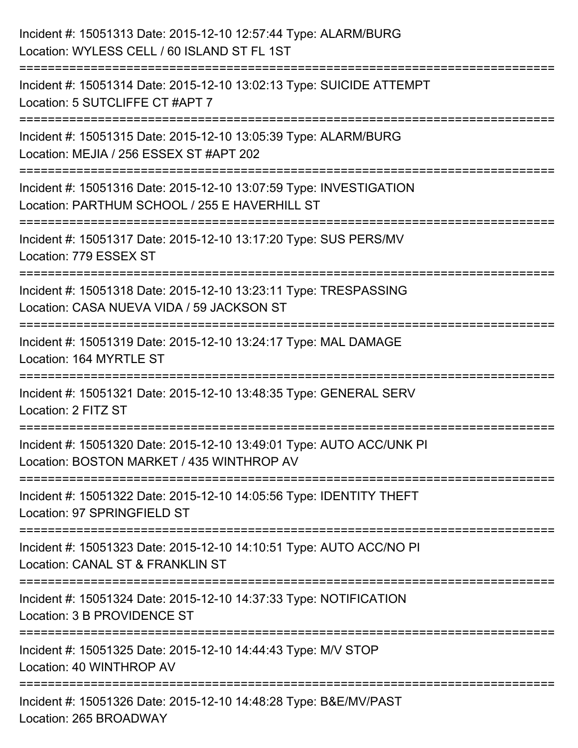| Incident #: 15051313 Date: 2015-12-10 12:57:44 Type: ALARM/BURG<br>Location: WYLESS CELL / 60 ISLAND ST FL 1ST                           |
|------------------------------------------------------------------------------------------------------------------------------------------|
| Incident #: 15051314 Date: 2015-12-10 13:02:13 Type: SUICIDE ATTEMPT<br>Location: 5 SUTCLIFFE CT #APT 7                                  |
| Incident #: 15051315 Date: 2015-12-10 13:05:39 Type: ALARM/BURG<br>Location: MEJIA / 256 ESSEX ST #APT 202<br>========================   |
| Incident #: 15051316 Date: 2015-12-10 13:07:59 Type: INVESTIGATION<br>Location: PARTHUM SCHOOL / 255 E HAVERHILL ST                      |
| Incident #: 15051317 Date: 2015-12-10 13:17:20 Type: SUS PERS/MV<br>Location: 779 ESSEX ST                                               |
| Incident #: 15051318 Date: 2015-12-10 13:23:11 Type: TRESPASSING<br>Location: CASA NUEVA VIDA / 59 JACKSON ST<br>======================= |
| Incident #: 15051319 Date: 2015-12-10 13:24:17 Type: MAL DAMAGE<br>Location: 164 MYRTLE ST                                               |
| Incident #: 15051321 Date: 2015-12-10 13:48:35 Type: GENERAL SERV<br>Location: 2 FITZ ST                                                 |
| Incident #: 15051320 Date: 2015-12-10 13:49:01 Type: AUTO ACC/UNK PI<br>Location: BOSTON MARKET / 435 WINTHROP AV                        |
| Incident #: 15051322 Date: 2015-12-10 14:05:56 Type: IDENTITY THEFT<br>Location: 97 SPRINGFIELD ST                                       |
| Incident #: 15051323 Date: 2015-12-10 14:10:51 Type: AUTO ACC/NO PI<br>Location: CANAL ST & FRANKLIN ST                                  |
| Incident #: 15051324 Date: 2015-12-10 14:37:33 Type: NOTIFICATION<br>Location: 3 B PROVIDENCE ST                                         |
| Incident #: 15051325 Date: 2015-12-10 14:44:43 Type: M/V STOP<br>Location: 40 WINTHROP AV                                                |
| Incident #: 15051326 Date: 2015-12-10 14:48:28 Type: B&E/MV/PAST<br>Location: 265 BROADWAY                                               |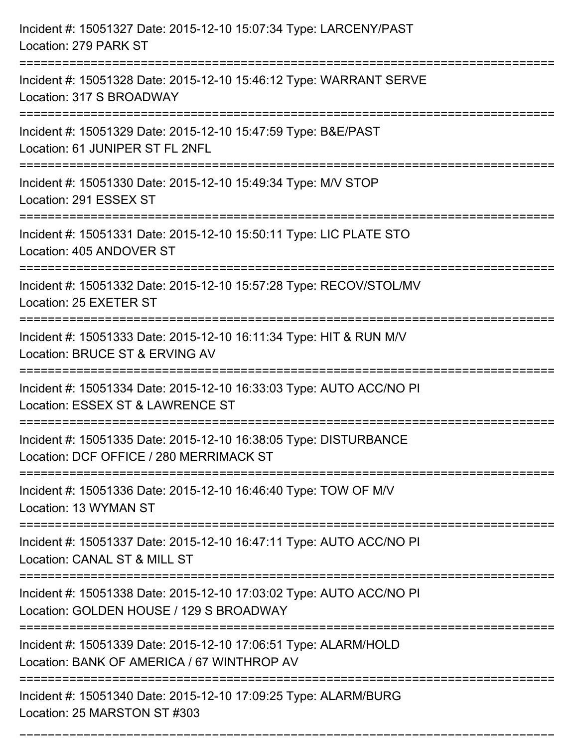| Incident #: 15051327 Date: 2015-12-10 15:07:34 Type: LARCENY/PAST<br>Location: 279 PARK ST                                            |
|---------------------------------------------------------------------------------------------------------------------------------------|
| Incident #: 15051328 Date: 2015-12-10 15:46:12 Type: WARRANT SERVE<br>Location: 317 S BROADWAY                                        |
| Incident #: 15051329 Date: 2015-12-10 15:47:59 Type: B&E/PAST<br>Location: 61 JUNIPER ST FL 2NFL<br>:================================ |
| Incident #: 15051330 Date: 2015-12-10 15:49:34 Type: M/V STOP<br>Location: 291 ESSEX ST                                               |
| Incident #: 15051331 Date: 2015-12-10 15:50:11 Type: LIC PLATE STO<br>Location: 405 ANDOVER ST<br>.---------------------------        |
| Incident #: 15051332 Date: 2015-12-10 15:57:28 Type: RECOV/STOL/MV<br>Location: 25 EXETER ST                                          |
| Incident #: 15051333 Date: 2015-12-10 16:11:34 Type: HIT & RUN M/V<br>Location: BRUCE ST & ERVING AV                                  |
| Incident #: 15051334 Date: 2015-12-10 16:33:03 Type: AUTO ACC/NO PI<br>Location: ESSEX ST & LAWRENCE ST                               |
| Incident #: 15051335 Date: 2015-12-10 16:38:05 Type: DISTURBANCE<br>Location: DCF OFFICE / 280 MERRIMACK ST                           |
| Incident #: 15051336 Date: 2015-12-10 16:46:40 Type: TOW OF M/V<br>Location: 13 WYMAN ST                                              |
| Incident #: 15051337 Date: 2015-12-10 16:47:11 Type: AUTO ACC/NO PI<br>Location: CANAL ST & MILL ST                                   |
| Incident #: 15051338 Date: 2015-12-10 17:03:02 Type: AUTO ACC/NO PI<br>Location: GOLDEN HOUSE / 129 S BROADWAY                        |
| Incident #: 15051339 Date: 2015-12-10 17:06:51 Type: ALARM/HOLD<br>Location: BANK OF AMERICA / 67 WINTHROP AV                         |
| Incident #: 15051340 Date: 2015-12-10 17:09:25 Type: ALARM/BURG<br>Location: 25 MARSTON ST #303                                       |

===========================================================================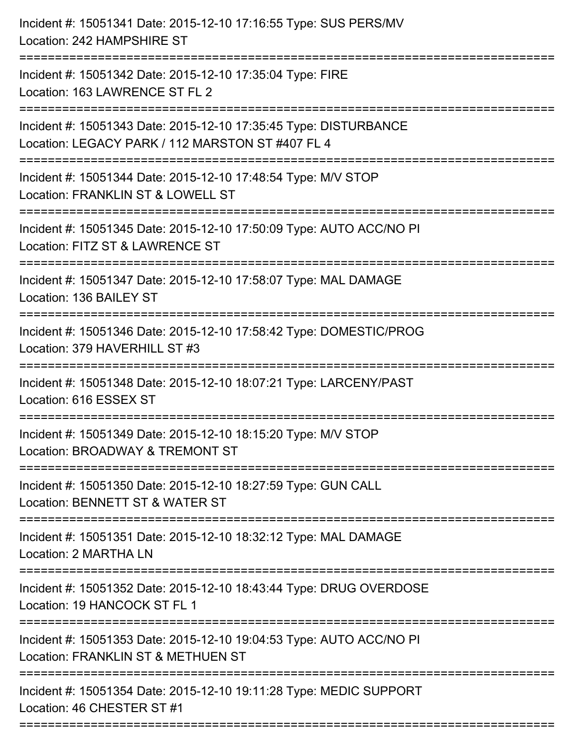| Incident #: 15051341 Date: 2015-12-10 17:16:55 Type: SUS PERS/MV<br>Location: 242 HAMPSHIRE ST                                                                           |
|--------------------------------------------------------------------------------------------------------------------------------------------------------------------------|
| ===================================<br>Incident #: 15051342 Date: 2015-12-10 17:35:04 Type: FIRE<br>Location: 163 LAWRENCE ST FL 2                                       |
| Incident #: 15051343 Date: 2015-12-10 17:35:45 Type: DISTURBANCE<br>Location: LEGACY PARK / 112 MARSTON ST #407 FL 4<br>:================================                |
| Incident #: 15051344 Date: 2015-12-10 17:48:54 Type: M/V STOP<br>Location: FRANKLIN ST & LOWELL ST                                                                       |
| Incident #: 15051345 Date: 2015-12-10 17:50:09 Type: AUTO ACC/NO PI<br>Location: FITZ ST & LAWRENCE ST<br>===================================<br>======================= |
| Incident #: 15051347 Date: 2015-12-10 17:58:07 Type: MAL DAMAGE<br>Location: 136 BAILEY ST                                                                               |
| Incident #: 15051346 Date: 2015-12-10 17:58:42 Type: DOMESTIC/PROG<br>Location: 379 HAVERHILL ST #3                                                                      |
| Incident #: 15051348 Date: 2015-12-10 18:07:21 Type: LARCENY/PAST<br>Location: 616 ESSEX ST                                                                              |
| Incident #: 15051349 Date: 2015-12-10 18:15:20 Type: M/V STOP<br>Location: BROADWAY & TREMONT ST                                                                         |
| Incident #: 15051350 Date: 2015-12-10 18:27:59 Type: GUN CALL<br>Location: BENNETT ST & WATER ST                                                                         |
| Incident #: 15051351 Date: 2015-12-10 18:32:12 Type: MAL DAMAGE<br>Location: 2 MARTHA LN                                                                                 |
| Incident #: 15051352 Date: 2015-12-10 18:43:44 Type: DRUG OVERDOSE<br>Location: 19 HANCOCK ST FL 1                                                                       |
| Incident #: 15051353 Date: 2015-12-10 19:04:53 Type: AUTO ACC/NO PI<br>Location: FRANKLIN ST & METHUEN ST                                                                |
| Incident #: 15051354 Date: 2015-12-10 19:11:28 Type: MEDIC SUPPORT<br>Location: 46 CHESTER ST #1                                                                         |
|                                                                                                                                                                          |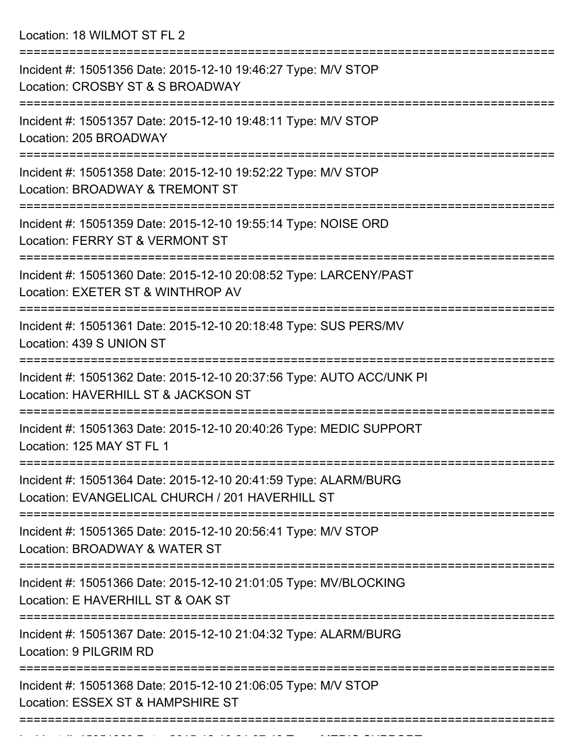Location: 18 WILMOT ST FL 2

| Incident #: 15051356 Date: 2015-12-10 19:46:27 Type: M/V STOP<br>Location: CROSBY ST & S BROADWAY                                     |
|---------------------------------------------------------------------------------------------------------------------------------------|
| Incident #: 15051357 Date: 2015-12-10 19:48:11 Type: M/V STOP<br>Location: 205 BROADWAY                                               |
| Incident #: 15051358 Date: 2015-12-10 19:52:22 Type: M/V STOP<br>Location: BROADWAY & TREMONT ST                                      |
| Incident #: 15051359 Date: 2015-12-10 19:55:14 Type: NOISE ORD<br>Location: FERRY ST & VERMONT ST                                     |
| Incident #: 15051360 Date: 2015-12-10 20:08:52 Type: LARCENY/PAST<br>Location: EXETER ST & WINTHROP AV                                |
| Incident #: 15051361 Date: 2015-12-10 20:18:48 Type: SUS PERS/MV<br>Location: 439 S UNION ST                                          |
| Incident #: 15051362 Date: 2015-12-10 20:37:56 Type: AUTO ACC/UNK PI<br>Location: HAVERHILL ST & JACKSON ST                           |
| Incident #: 15051363 Date: 2015-12-10 20:40:26 Type: MEDIC SUPPORT<br>Location: 125 MAY ST FL 1                                       |
| ===============<br>Incident #: 15051364 Date: 2015-12-10 20:41:59 Type: ALARM/BURG<br>Location: EVANGELICAL CHURCH / 201 HAVERHILL ST |
| =============================<br>Incident #: 15051365 Date: 2015-12-10 20:56:41 Type: M/V STOP<br>Location: BROADWAY & WATER ST       |
| Incident #: 15051366 Date: 2015-12-10 21:01:05 Type: MV/BLOCKING<br>Location: E HAVERHILL ST & OAK ST                                 |
| Incident #: 15051367 Date: 2015-12-10 21:04:32 Type: ALARM/BURG<br>Location: 9 PILGRIM RD                                             |
| Incident #: 15051368 Date: 2015-12-10 21:06:05 Type: M/V STOP<br>Location: ESSEX ST & HAMPSHIRE ST                                    |
|                                                                                                                                       |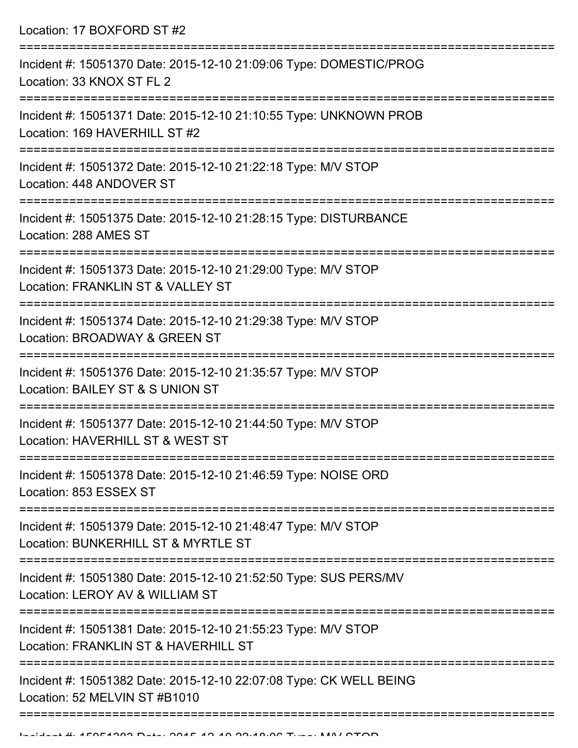| Location: 17 BOXFORD ST #2                                                                            |
|-------------------------------------------------------------------------------------------------------|
| Incident #: 15051370 Date: 2015-12-10 21:09:06 Type: DOMESTIC/PROG<br>Location: 33 KNOX ST FL 2       |
| Incident #: 15051371 Date: 2015-12-10 21:10:55 Type: UNKNOWN PROB<br>Location: 169 HAVERHILL ST #2    |
| Incident #: 15051372 Date: 2015-12-10 21:22:18 Type: M/V STOP<br>Location: 448 ANDOVER ST             |
| Incident #: 15051375 Date: 2015-12-10 21:28:15 Type: DISTURBANCE<br>Location: 288 AMES ST             |
| Incident #: 15051373 Date: 2015-12-10 21:29:00 Type: M/V STOP<br>Location: FRANKLIN ST & VALLEY ST    |
| Incident #: 15051374 Date: 2015-12-10 21:29:38 Type: M/V STOP<br>Location: BROADWAY & GREEN ST        |
| Incident #: 15051376 Date: 2015-12-10 21:35:57 Type: M/V STOP<br>Location: BAILEY ST & S UNION ST     |
| Incident #: 15051377 Date: 2015-12-10 21:44:50 Type: M/V STOP<br>Location: HAVERHILL ST & WEST ST     |
| Incident #: 15051378 Date: 2015-12-10 21:46:59 Type: NOISE ORD<br>Location: 853 ESSEX ST              |
| Incident #: 15051379 Date: 2015-12-10 21:48:47 Type: M/V STOP<br>Location: BUNKERHILL ST & MYRTLE ST  |
| Incident #: 15051380 Date: 2015-12-10 21:52:50 Type: SUS PERS/MV<br>Location: LEROY AV & WILLIAM ST   |
| Incident #: 15051381 Date: 2015-12-10 21:55:23 Type: M/V STOP<br>Location: FRANKLIN ST & HAVERHILL ST |
| Incident #: 15051382 Date: 2015-12-10 22:07:08 Type: CK WELL BEING<br>Location: 52 MELVIN ST #B1010   |
|                                                                                                       |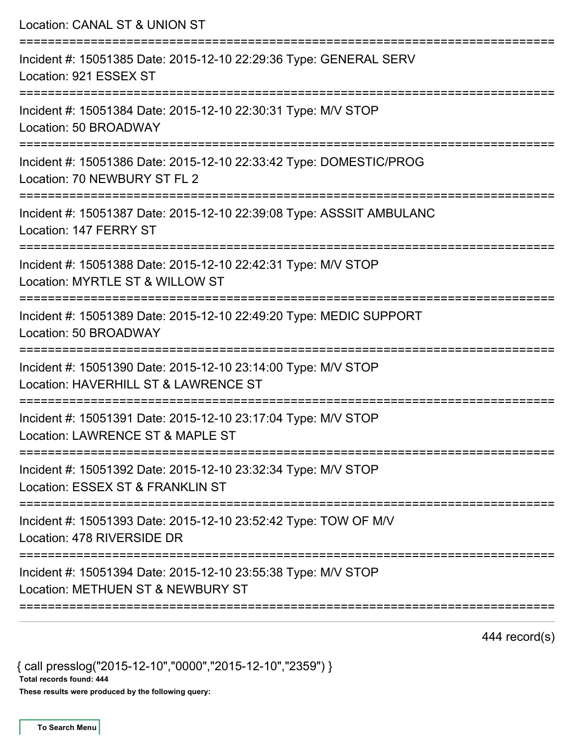| Incident #: 15051385 Date: 2015-12-10 22:29:36 Type: GENERAL SERV<br>Location: 921 ESSEX ST<br>Incident #: 15051384 Date: 2015-12-10 22:30:31 Type: M/V STOP<br>Location: 50 BROADWAY<br>Incident #: 15051386 Date: 2015-12-10 22:33:42 Type: DOMESTIC/PROG<br>Location: 70 NEWBURY ST FL 2<br>Incident #: 15051387 Date: 2015-12-10 22:39:08 Type: ASSSIT AMBULANC<br>Location: 147 FERRY ST<br>Incident #: 15051388 Date: 2015-12-10 22:42:31 Type: M/V STOP<br>Location: MYRTLE ST & WILLOW ST<br>Incident #: 15051389 Date: 2015-12-10 22:49:20 Type: MEDIC SUPPORT<br>Location: 50 BROADWAY<br>Incident #: 15051390 Date: 2015-12-10 23:14:00 Type: M/V STOP<br>Location: HAVERHILL ST & LAWRENCE ST<br>Incident #: 15051391 Date: 2015-12-10 23:17:04 Type: M/V STOP<br>Location: LAWRENCE ST & MAPLE ST<br>Incident #: 15051392 Date: 2015-12-10 23:32:34 Type: M/V STOP<br>Location: ESSEX ST & FRANKLIN ST<br>Incident #: 15051393 Date: 2015-12-10 23:52:42 Type: TOW OF M/V<br>Location: 478 RIVERSIDE DR<br>Incident #: 15051394 Date: 2015-12-10 23:55:38 Type: M/V STOP<br>Location: METHUEN ST & NEWBURY ST | Location: CANAL ST & UNION ST |
|----------------------------------------------------------------------------------------------------------------------------------------------------------------------------------------------------------------------------------------------------------------------------------------------------------------------------------------------------------------------------------------------------------------------------------------------------------------------------------------------------------------------------------------------------------------------------------------------------------------------------------------------------------------------------------------------------------------------------------------------------------------------------------------------------------------------------------------------------------------------------------------------------------------------------------------------------------------------------------------------------------------------------------------------------------------------------------------------------------------------------|-------------------------------|
|                                                                                                                                                                                                                                                                                                                                                                                                                                                                                                                                                                                                                                                                                                                                                                                                                                                                                                                                                                                                                                                                                                                            |                               |
|                                                                                                                                                                                                                                                                                                                                                                                                                                                                                                                                                                                                                                                                                                                                                                                                                                                                                                                                                                                                                                                                                                                            |                               |
|                                                                                                                                                                                                                                                                                                                                                                                                                                                                                                                                                                                                                                                                                                                                                                                                                                                                                                                                                                                                                                                                                                                            |                               |
|                                                                                                                                                                                                                                                                                                                                                                                                                                                                                                                                                                                                                                                                                                                                                                                                                                                                                                                                                                                                                                                                                                                            |                               |
|                                                                                                                                                                                                                                                                                                                                                                                                                                                                                                                                                                                                                                                                                                                                                                                                                                                                                                                                                                                                                                                                                                                            |                               |
|                                                                                                                                                                                                                                                                                                                                                                                                                                                                                                                                                                                                                                                                                                                                                                                                                                                                                                                                                                                                                                                                                                                            |                               |
|                                                                                                                                                                                                                                                                                                                                                                                                                                                                                                                                                                                                                                                                                                                                                                                                                                                                                                                                                                                                                                                                                                                            |                               |
|                                                                                                                                                                                                                                                                                                                                                                                                                                                                                                                                                                                                                                                                                                                                                                                                                                                                                                                                                                                                                                                                                                                            |                               |
|                                                                                                                                                                                                                                                                                                                                                                                                                                                                                                                                                                                                                                                                                                                                                                                                                                                                                                                                                                                                                                                                                                                            |                               |
|                                                                                                                                                                                                                                                                                                                                                                                                                                                                                                                                                                                                                                                                                                                                                                                                                                                                                                                                                                                                                                                                                                                            |                               |
|                                                                                                                                                                                                                                                                                                                                                                                                                                                                                                                                                                                                                                                                                                                                                                                                                                                                                                                                                                                                                                                                                                                            |                               |

444 record(s)

{ call presslog("2015-12-10","0000","2015-12-10","2359") }

Total records found: 444

These results were produced by the following query: